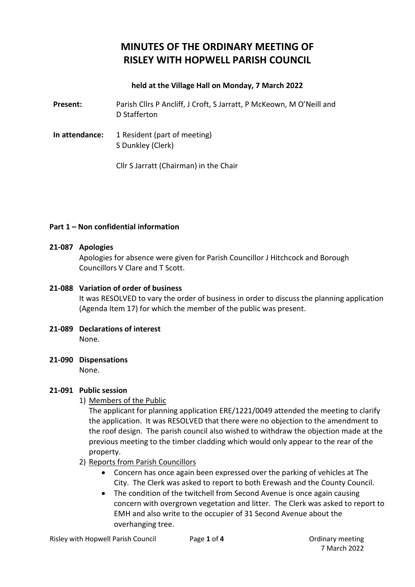# **MINUTES OF THE ORDINARY MEETING OF RISLEY WITH HOPWELL PARISH COUNCIL**

#### **held at the Village Hall on Monday, 7 March 2022**

**Present:** Parish Cllrs P Ancliff, J Croft, S Jarratt, P McKeown, M O'Neill and D Stafferton

**In attendance:** 1 Resident (part of meeting) S Dunkley (Clerk)

Cllr S Jarratt (Chairman) in the Chair

#### **Part 1 – Non confidential information**

#### **21-087 Apologies**

Apologies for absence were given for Parish Councillor J Hitchcock and Borough Councillors V Clare and T Scott.

# **21-088 Variation of order of business**

It was RESOLVED to vary the order of business in order to discuss the planning application (Agenda Item 17) for which the member of the public was present.

- **21-089 Declarations of interest** None.
- **21-090 Dispensations**

None.

# **21-091 Public session**

#### 1) Members of the Public

The applicant for planning application ERE/1221/0049 attended the meeting to clarify the application. It was RESOLVED that there were no objection to the amendment to the roof design. The parish council also wished to withdraw the objection made at the previous meeting to the timber cladding which would only appear to the rear of the property.

- 2) Reports from Parish Councillors
	- Concern has once again been expressed over the parking of vehicles at The City. The Clerk was asked to report to both Erewash and the County Council.
	- The condition of the twitchell from Second Avenue is once again causing concern with overgrown vegetation and litter. The Clerk was asked to report to EMH and also write to the occupier of 31 Second Avenue about the overhanging tree.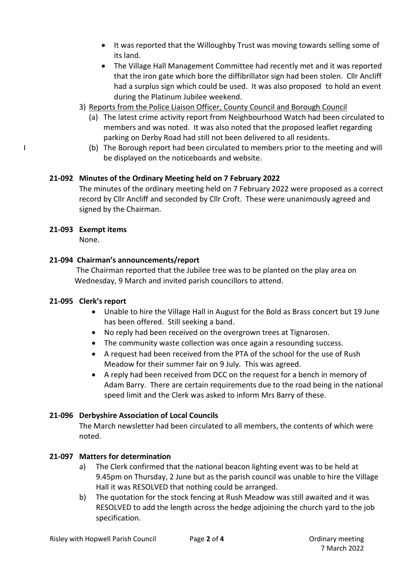- It was reported that the Willoughby Trust was moving towards selling some of its land.
- The Village Hall Management Committee had recently met and it was reported that the iron gate which bore the diffibrillator sign had been stolen. Cllr Ancliff had a surplus sign which could be used. It was also proposed to hold an event during the Platinum Jubilee weekend.
- 3) Reports from the Police Liaison Officer, County Council and Borough Council
	- (a) The latest crime activity report from Neighbourhood Watch had been circulated to members and was noted. It was also noted that the proposed leaflet regarding parking on Derby Road had still not been delivered to all residents.
- I (b) The Borough report had been circulated to members prior to the meeting and will be displayed on the noticeboards and website.

# **21-092 Minutes of the Ordinary Meeting held on 7 February 2022**

The minutes of the ordinary meeting held on 7 February 2022 were proposed as a correct record by Cllr Ancliff and seconded by Cllr Croft. These were unanimously agreed and signed by the Chairman.

#### **21-093 Exempt items**

None.

# **21-094 Chairman's announcements/report**

The Chairman reported that the Jubilee tree was to be planted on the play area on Wednesday, 9 March and invited parish councillors to attend.

#### **21-095 Clerk's report**

- Unable to hire the Village Hall in August for the Bold as Brass concert but 19 June has been offered. Still seeking a band.
- No reply had been received on the overgrown trees at Tignarosen.
- The community waste collection was once again a resounding success.
- A request had been received from the PTA of the school for the use of Rush Meadow for their summer fair on 9 July. This was agreed.
- A reply had been received from DCC on the request for a bench in memory of Adam Barry. There are certain requirements due to the road being in the national speed limit and the Clerk was asked to inform Mrs Barry of these.

#### **21-096 Derbyshire Association of Local Councils**

The March newsletter had been circulated to all members, the contents of which were noted.

#### **21-097 Matters for determination**

- a) The Clerk confirmed that the national beacon lighting event was to be held at 9.45pm on Thursday, 2 June but as the parish council was unable to hire the Village Hall it was RESOLVED that nothing could be arranged.
- b) The quotation for the stock fencing at Rush Meadow was still awaited and it was RESOLVED to add the length across the hedge adjoining the church yard to the job specification.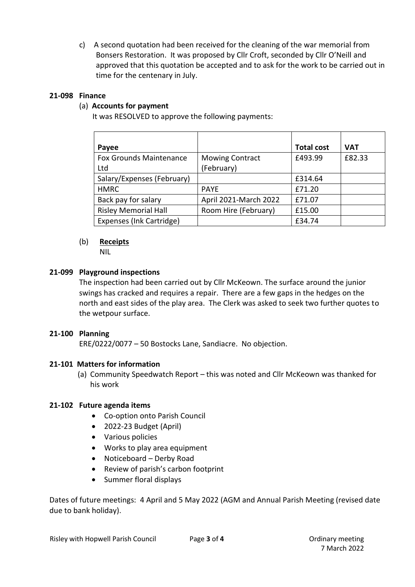c) A second quotation had been received for the cleaning of the war memorial from Bonsers Restoration. It was proposed by Cllr Croft, seconded by Cllr O'Neill and approved that this quotation be accepted and to ask for the work to be carried out in time for the centenary in July.

# **21-098 Finance**

# (a) **Accounts for payment**

It was RESOLVED to approve the following payments:

| Payee                           |                        | <b>Total cost</b> | <b>VAT</b> |
|---------------------------------|------------------------|-------------------|------------|
| <b>Fox Grounds Maintenance</b>  | <b>Mowing Contract</b> | £493.99           | £82.33     |
| Ltd                             | (February)             |                   |            |
| Salary/Expenses (February)      |                        | £314.64           |            |
| <b>HMRC</b>                     | <b>PAYE</b>            | £71.20            |            |
| Back pay for salary             | April 2021-March 2022  | £71.07            |            |
| <b>Risley Memorial Hall</b>     | Room Hire (February)   | £15.00            |            |
| <b>Expenses (Ink Cartridge)</b> |                        | £34.74            |            |

# (b) **Receipts**

NIL

# **21-099 Playground inspections**

The inspection had been carried out by Cllr McKeown. The surface around the junior swings has cracked and requires a repair. There are a few gaps in the hedges on the north and east sides of the play area. The Clerk was asked to seek two further quotes to the wetpour surface.

#### **21-100 Planning**

ERE/0222/0077 – 50 Bostocks Lane, Sandiacre. No objection.

#### **21-101 Matters for information**

(a) Community Speedwatch Report – this was noted and Cllr McKeown was thanked for his work

#### **21-102 Future agenda items**

- Co-option onto Parish Council
- 2022-23 Budget (April)
- Various policies
- Works to play area equipment
- Noticeboard Derby Road
- Review of parish's carbon footprint
- Summer floral displays

Dates of future meetings: 4 April and 5 May 2022 (AGM and Annual Parish Meeting (revised date due to bank holiday).